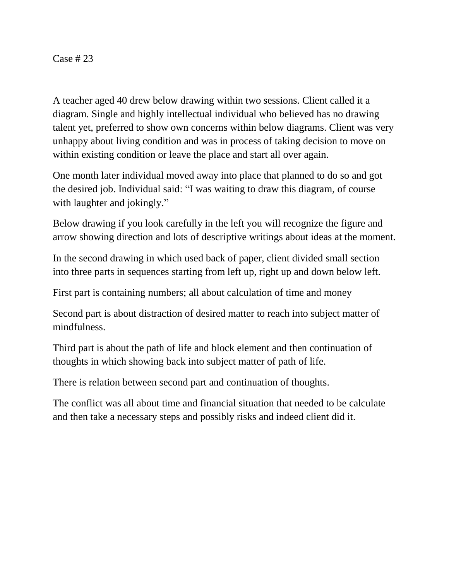## Case # 23

A teacher aged 40 drew below drawing within two sessions. Client called it a diagram. Single and highly intellectual individual who believed has no drawing talent yet, preferred to show own concerns within below diagrams. Client was very unhappy about living condition and was in process of taking decision to move on within existing condition or leave the place and start all over again.

One month later individual moved away into place that planned to do so and got the desired job. Individual said: "I was waiting to draw this diagram, of course with laughter and jokingly."

Below drawing if you look carefully in the left you will recognize the figure and arrow showing direction and lots of descriptive writings about ideas at the moment.

In the second drawing in which used back of paper, client divided small section into three parts in sequences starting from left up, right up and down below left.

First part is containing numbers; all about calculation of time and money

Second part is about distraction of desired matter to reach into subject matter of mindfulness.

Third part is about the path of life and block element and then continuation of thoughts in which showing back into subject matter of path of life.

There is relation between second part and continuation of thoughts.

The conflict was all about time and financial situation that needed to be calculate and then take a necessary steps and possibly risks and indeed client did it.